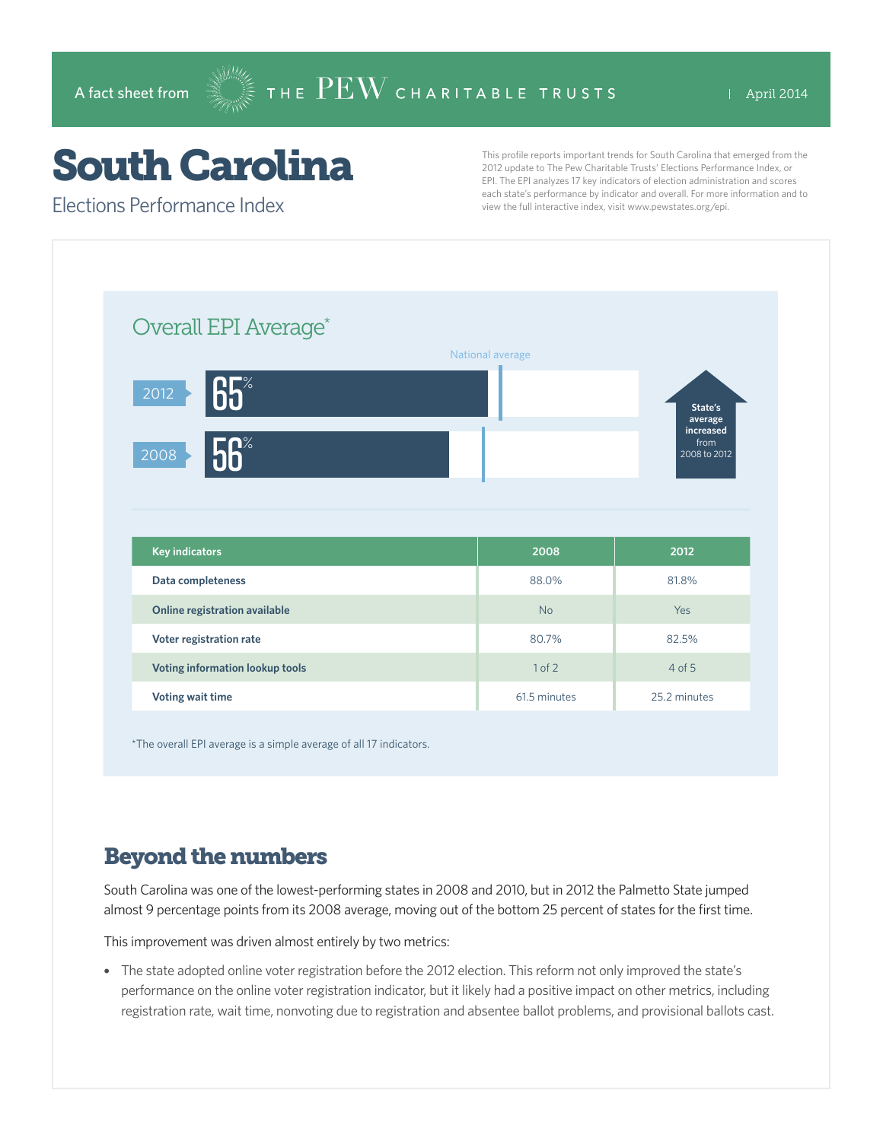# South Carolina

Elections Performance Index

This profile reports important trends for South Carolina that emerged from the 2012 update to The Pew Charitable Trusts' Elections Performance Index, or EPI. The EPI analyzes 17 key indicators of election administration and scores each state's performance by indicator and overall. For more information and to view the full interactive index, visit www.pewstates.org/epi.

| Overall EPI Average*            |                  |                                   |
|---------------------------------|------------------|-----------------------------------|
|                                 | National average |                                   |
| 65<br>2012                      |                  | State's<br>average                |
| 56%<br>2008                     |                  | increased<br>from<br>2008 to 2012 |
|                                 |                  |                                   |
|                                 |                  |                                   |
|                                 |                  |                                   |
| <b>Key indicators</b>           | 2008             | 2012                              |
| Data completeness               | 88.0%            | 81.8%                             |
| Online registration available   | <b>No</b>        | Yes                               |
| Voter registration rate         | 80.7%            | 82.5%                             |
| Voting information lookup tools | 1 of 2           | $4$ of $5$                        |

\*The overall EPI average is a simple average of all 17 indicators.

### Beyond the numbers

South Carolina was one of the lowest-performing states in 2008 and 2010, but in 2012 the Palmetto State jumped almost 9 percentage points from its 2008 average, moving out of the bottom 25 percent of states for the first time.

This improvement was driven almost entirely by two metrics:

• The state adopted online voter registration before the 2012 election. This reform not only improved the state's performance on the online voter registration indicator, but it likely had a positive impact on other metrics, including registration rate, wait time, nonvoting due to registration and absentee ballot problems, and provisional ballots cast.